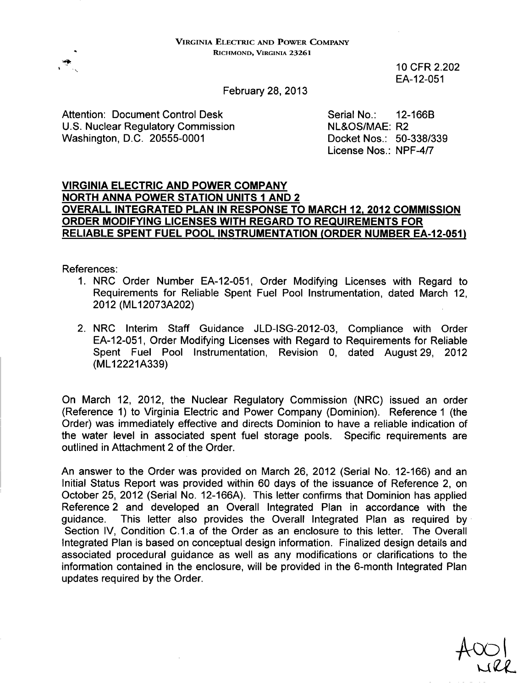10 CFR 2.202 EA-12-051

February 28, 2013

Attention: Document Control Desk Serial No.: 12-166B U.S. Nuclear Regulatory Commission ML&OS/MAE: R2 Washington, D.C. 20555-0001 Docket Nos.: 50-338/339

License Nos.: NPF-4/7

#### VIRGINIA ELECTRIC **AND** POWER COMPANY NORTH **ANNA** POWER **STATION UNITS I AND** 2 OVERALL **INTEGRATED PLAN IN RESPONSE** TO MARCH 12, 2012 **COMMISSION** ORDER **MODIFYING LICENSES** WITH REGARD TO **REQUIREMENTS** FOR RELIABLE **SPENT FUEL** POOL **INSTRUMENTATION** (ORDER **NUMBER EA-12-051)**

References:

- 1. NRC Order Number EA-12-051, Order Modifying Licenses with Regard to Requirements for Reliable Spent Fuel Pool Instrumentation, dated March 12, 2012 (ML12073A202)
- 2. NRC Interim Staff Guidance JLD-ISG-2012-03, Compliance with Order EA-12-051, Order Modifying Licenses with Regard to Requirements for Reliable Spent Fuel Pool Instrumentation, Revision 0, dated August 29, 2012 (ML12221A339)

On March 12, 2012, the Nuclear Regulatory Commission (NRC) issued an order (Reference 1) to Virginia Electric and Power Company (Dominion). Reference **1** (the Order) was immediately effective and directs Dominion to have a reliable indication of the water level in associated spent fuel storage pools. Specific requirements are outlined in Attachment 2 of the Order.

An answer to the Order was provided on March 26, 2012 (Serial No. 12-166) and an Initial Status Report was provided within 60 days of the issuance of Reference 2, on October 25, 2012 (Serial No. 12-166A). This letter confirms that Dominion has applied Reference 2 and developed an Overall Integrated Plan in accordance with the guidance. This letter also provides the Overall Integrated Plan as required by Section IV, Condition C.1.a of the Order as an enclosure to this letter. The Overall Integrated Plan is based on conceptual design information. Finalized design details and associated procedural guidance as well as any modifications or clarifications to the information contained in the enclosure, will be provided in the 6-month Integrated Plan updates required by the Order.

 $\sqrt{a}$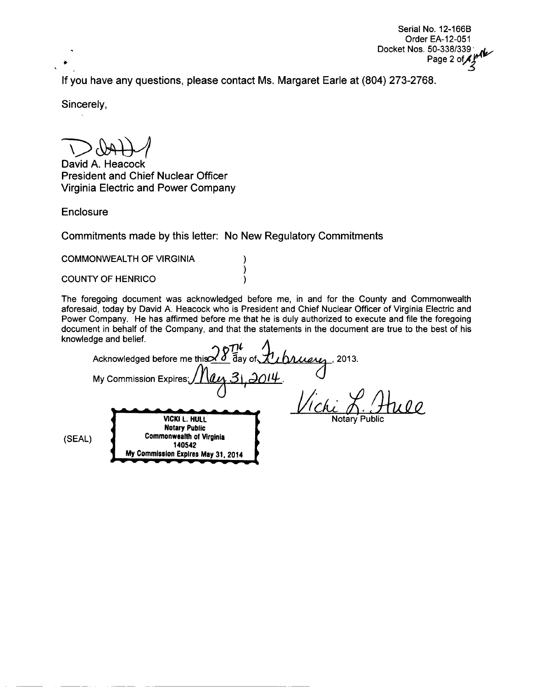Serial No. 12-166B Order EA-12-051 Docket Nos. 50-338/339 Page 2 of  $\overrightarrow{A}$   $\overrightarrow{M}$ 

If you have any questions, please contact Ms. Margaret Earle at (804) 273-2768.

Sincerely,

David A. Heacock President and Chief Nuclear Officer Virginia Electric and Power Company

**Enclosure** 

Commitments made by this letter: No New Regulatory Commitments

) ) )

COMMONWEALTH OF VIRGINIA

COUNTY OF HENRICO

The foregoing document was acknowledged before me, in and for the County and Commonwealth aforesaid, today by David A. Heacock who is President and Chief Nuclear Officer of Virginia Electric and Power Company. He has affirmed before me that he is duly authorized to execute and file the foregoing document in behalf of the Company, and that the statements in the document are true to the best of his knowledge and belief.

Acknowledged before me this  $\Delta d$  day of  $\Delta h$   $\Delta \Delta \mu$ , 2013. My Commission Expires; (JI/. **Li**/) <u>Искі Д.</u> (SEAL) VICKI L. HULL Notary Public Commonwealth of Virginia 140542 **My** Commission Expires May **31.** 2014 - 1 Notary Public Notary Public<br>Commonwealth of Virginia<br>140542<br>My Commission Expires May 31, 2014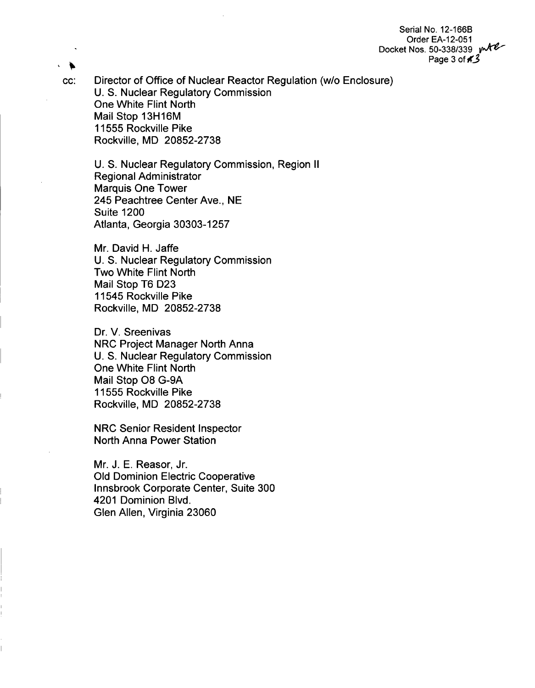Serial No. 12-166B Order EA-12-051 Docket Nos. 50-338/339 publ Page 3 **ofK3**

cc: Director of Office of Nuclear Reactor Regulation (w/o Enclosure) U. S. Nuclear Regulatory Commission One White Flint North Mail Stop 13H16M 11555 Rockville Pike Rockville, MD 20852-2738

U. S. Nuclear Regulatory Commission, Region II Regional Administrator Marquis One Tower 245 Peachtree Center Ave., NE Suite 1200 Atlanta, Georgia 30303-1257

Mr. David H. Jaffe U. S. Nuclear Regulatory Commission Two White Flint North Mail Stop T6 D23 11545 Rockville Pike Rockville, MD 20852-2738

Dr. V. Sreenivas NRC Project Manager North Anna U. S. Nuclear Regulatory Commission One White Flint North Mail Stop 08 G-9A 11555 Rockville Pike Rockville, MD 20852-2738

NRC Senior Resident Inspector North Anna Power Station

Mr. J. E. Reasor, Jr. Old Dominion Electric Cooperative Innsbrook Corporate Center, Suite 300 4201 Dominion Blvd. Glen Allen, Virginia 23060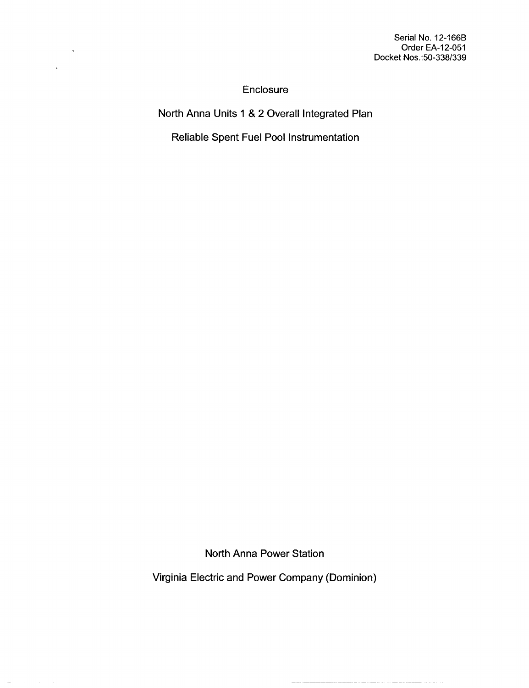Serial No. 12-166B Order EA-12-051 Docket Nos.:50-338/339

 $\sim$ 

**Enclosure** 

 $\ddot{\phantom{1}}$ 

 $\ddot{\phantom{1}}$ 

North Anna Units **1** & 2 Overall Integrated Plan

Reliable Spent Fuel Pool Instrumentation

North Anna Power Station

Virginia Electric and Power Company (Dominion)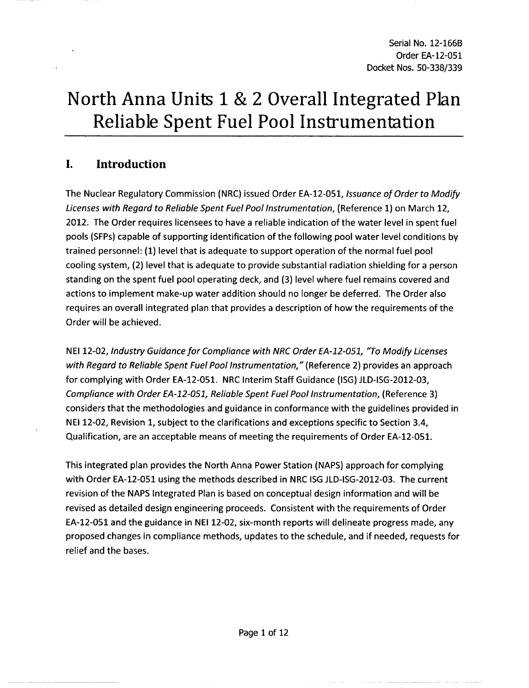# North Anna Units **1 &** 2 Overall Integrated Plan Reliable Spent Fuel Pool Instrumentation

# **I.** Introduction

The Nuclear Regulatory Commission (NRC) issued Order EA-12-051, *Issuance of Order to Modify Licenses with Regard to Reliable Spent Fuel Pool Instrumentation,* (Reference **1)** on March 12, 2012. The Order requires licensees to have a reliable indication of the water level in spent fuel pools (SFPs) capable of supporting identification of the following pool water level conditions by trained personnel: **(1)** level that is adequate to support operation of the normal fuel pool cooling system, (2) level that is adequate to provide substantial radiation shielding for a person standing on the spent fuel pool operating deck, and (3) level where fuel remains covered and actions to implement make-up water addition should no longer be deferred. The Order also requires an overall integrated plan that provides a description of how the requirements of the Order will be achieved.

NEI 12-02, *Industry Guidance for Compliance with NRC Order EA-12-051, "To Modify Licenses with Regard to Reliable Spent Fuel Pool Instrumentation,"* (Reference 2) provides an approach for complying with Order EA-12-051. NRC Interim Staff Guidance (ISG) JLD-ISG-2012-03, *Compliance with Order EA-12-051, Reliable Spent Fuel Pool Instrumentation, (Reference 3)* considers that the methodologies and guidance in conformance with the guidelines provided in NEI 12-02, Revision 1, subject to the clarifications and exceptions specific to Section 3.4, Qualification, are an acceptable means of meeting the requirements of Order EA-12-051.

This integrated plan provides the North Anna Power Station (NAPS) approach for complying with Order EA-12-051 using the methods described in NRC ISG JLD-ISG-2012-03. The current revision of the NAPS Integrated Plan is based on conceptual design information and will be revised as detailed design engineering proceeds. Consistent with the requirements of Order EA-12-051 and the guidance in NEI 12-02, six-month reports will delineate progress made, any proposed changes in compliance methods, updates to the schedule, and if needed, requests for relief and the bases.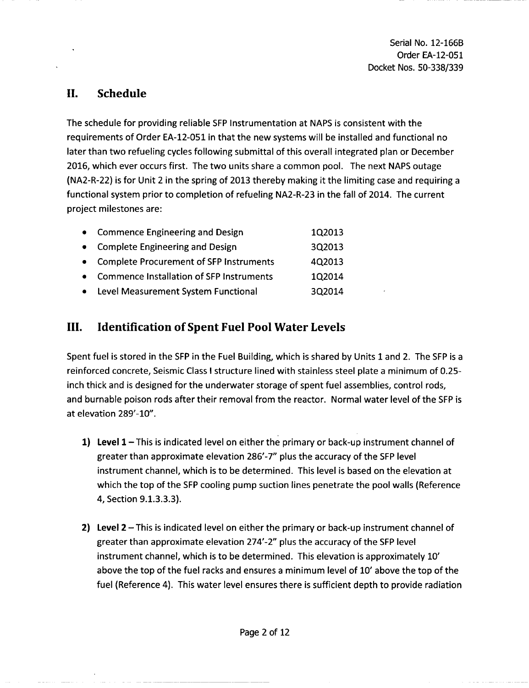Serial No. 12-166B Order EA-12-051 Docket Nos. 50-338/339

### **II.** Schedule

The schedule for providing reliable SFP Instrumentation at NAPS is consistent with the requirements of Order EA-12-051 in that the new systems will be installed and functional no later than two refueling cycles following submittal of this overall integrated plan or December 2016, which ever occurs first. The two units share a common pool. The next NAPS outage (NA2-R-22) is for Unit 2 in the spring of 2013 thereby making it the limiting case and requiring a functional system prior to completion of refueling NA2-R-23 in the fall of 2014. The current project milestones are:

| • Commence Engineering and Design          | 1Q2013 |
|--------------------------------------------|--------|
| • Complete Engineering and Design          | 3Q2013 |
| • Complete Procurement of SFP Instruments  | 4Q2013 |
| • Commence Installation of SFP Instruments | 1Q2014 |
| • Level Measurement System Functional      | 3Q2014 |

# **III.** Identification of Spent Fuel Pool Water Levels

Spent fuel is stored in the SFP in the Fuel Building, which is shared by Units **1** and 2. The SFP is a reinforced concrete, Seismic Class I structure lined with stainless steel plate a minimum of 0.25 inch thick and is designed for the underwater storage of spent fuel assemblies, control rods, and burnable poison rods after their removal from the reactor. Normal water level of the SFP is at elevation 289'-10".

- 1) Level 1 This is indicated level on either the primary or back-up instrument channel of greater than approximate elevation 286'-7" plus the accuracy of the SFP level instrument channel, which is to be determined. This level is based on the elevation at which the top of the SFP cooling pump suction lines penetrate the pool walls (Reference 4, Section 9.1.3.3.3).
- 2) Level  $2-$ This is indicated level on either the primary or back-up instrument channel of greater than approximate elevation 274'-2" plus the accuracy of the SFP level instrument channel, which is to be determined. This elevation is approximately **10'** above the top of the fuel racks and ensures a minimum level of **10'** above the top of the fuel (Reference 4). This water level ensures there is sufficient depth to provide radiation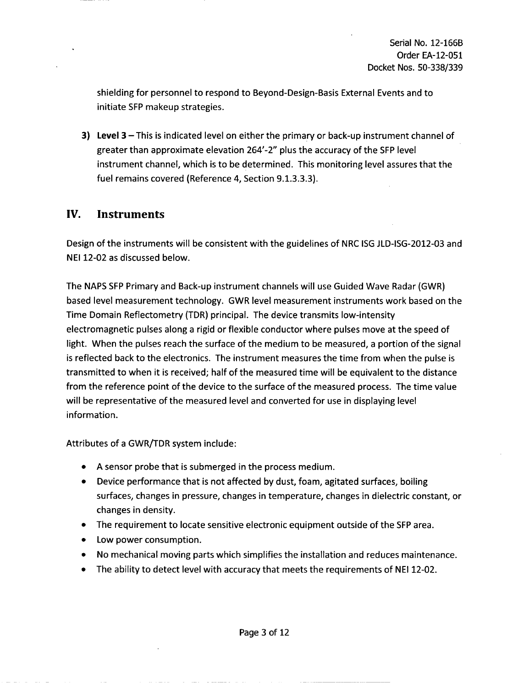shielding for personnel to respond to Beyond-Design-Basis External Events and to initiate SFP makeup strategies.

**3)** Level **3** - This is indicated level on either the primary or back-up instrument channel of greater than approximate elevation 264'-2" plus the accuracy of the SFP level instrument channel, which is to be determined. This monitoring level assures that the fuel remains covered (Reference 4, Section 9.1.3.3.3).

#### IV. Instruments

Design of the instruments will be consistent with the guidelines of NRC ISG JLD-ISG-2012-03 and NEI 12-02 as discussed below.

The NAPS SFP Primary and Back-up instrument channels will use Guided Wave Radar (GWR) based level measurement technology. GWR level measurement instruments work based on the Time Domain Reflectometry (TDR) principal. The device transmits low-intensity electromagnetic pulses along a rigid or flexible conductor where pulses move at the speed of light. When the pulses reach the surface of the medium to be measured, a portion of the signal is reflected back to the electronics. The instrument measures the time from when the pulse is transmitted to when it is received; half of the measured time will be equivalent to the distance from the reference point of the device to the surface of the measured process. The time value will be representative of the measured level and converted for use in displaying level information.

Attributes of a GWR/TDR system include:

- \* A sensor probe that is submerged in the process medium.
- Device performance that is not affected by dust, foam, agitated surfaces, boiling surfaces, changes in pressure, changes in temperature, changes in dielectric constant, or changes in density.
- The requirement to locate sensitive electronic equipment outside of the SFP area.
- Low power consumption.
- **"** No mechanical moving parts which simplifies the installation and reduces maintenance.
- The ability to detect level with accuracy that meets the requirements of NEI 12-02.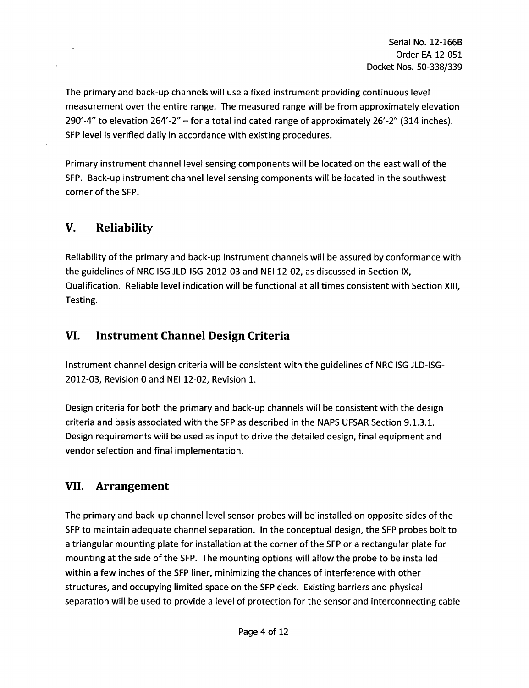Serial No. 12-166B Order EA-12-051 Docket Nos. 50-338/339

The primary and back-up channels will use a fixed instrument providing continuous level measurement over the entire range. The measured range will be from approximately elevation 290'-4" to elevation 264'-2" - for a total indicated range of approximately 26'-2" (314 inches). SFP level is verified daily in accordance with existing procedures.

Primary instrument channel level sensing components will be located on the east wall of the SFP. Back-up instrument channel level sensing components will be located in the southwest corner of the SFP.

### V. Reliability

Reliability of the primary and back-up instrument channels will be assured by conformance with the guidelines of NRC ISG JLD-ISG-2012-03 and NEI 12-02, as discussed in Section IX, Qualification. Reliable level indication will be functional at all times consistent with Section XIII, Testing.

### VI. Instrument Channel Design Criteria

Instrument channel design criteria will be consistent with the guidelines of NRC ISG JLD-ISG-2012-03, Revision 0 and NEI 12-02, Revision 1.

Design criteria for both the primary and back-up channels will be consistent with the design criteria and basis associated with the SFP as described in the NAPS UFSAR Section 9.1.3.1. Design requirements will be used as input to drive the detailed design, final equipment and vendor selection and final implementation.

### **VII.** Arrangement

The primary and back-up channel level sensor probes will be installed on opposite sides of the SFP to maintain adequate channel separation. In the conceptual design, the SFP probes bolt to a triangular mounting plate for installation at the corner of the SFP or a rectangular plate for mounting at the side of the SFP. The mounting options will allow the probe to be installed within a few inches of the SFP liner, minimizing the chances of interference with other structures, and occupying limited space on the SFP deck. Existing barriers and physical separation will be used to provide a level of protection for the sensor and interconnecting cable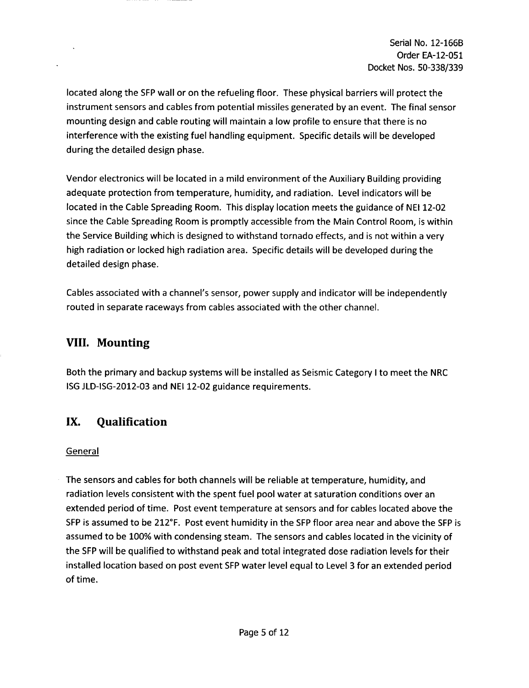located along the SFP wall or on the refueling floor. These physical barriers will protect the instrument sensors and cables from potential missiles generated by an event. The final sensor mounting design and cable routing will maintain a low profile to ensure that there is no interference with the existing fuel handling equipment. Specific details will be developed during the detailed design phase.

Vendor electronics will be located in a mild environment of the Auxiliary Building providing adequate protection from temperature, humidity, and radiation. Level indicators will be located in the Cable Spreading Room. This display location meets the guidance of NEI 12-02 since the Cable Spreading Room is promptly accessible from the Main Control Room, is within the Service Building which is designed to withstand tornado effects, and is not within a very high radiation or locked high radiation area. Specific details will be developed during the detailed design phase.

Cables associated with a channel's sensor, power supply and indicator will be independently routed in separate raceways from cables associated with the other channel.

### **VIII.** Mounting

Both the primary and backup systems will be installed as Seismic Category I to meet the NRC ISG JLD-ISG-2012-03 and NEI 12-02 guidance requirements.

# IX. Qualification

#### General

The sensors and cables for both channels will be reliable at temperature, humidity, and radiation levels consistent with the spent fuel pool water at saturation conditions over an extended period of time. Post event temperature at sensors and for cables located above the SFP is assumed to be 212°F. Post event humidity in the SFP floor area near and above the SFP is assumed to be 100% with condensing steam. The sensors and cables located in the vicinity of the SFP will be qualified to withstand peak and total integrated dose radiation levels for their installed location based on post event SFP water level equal to Level 3 for an extended period of time.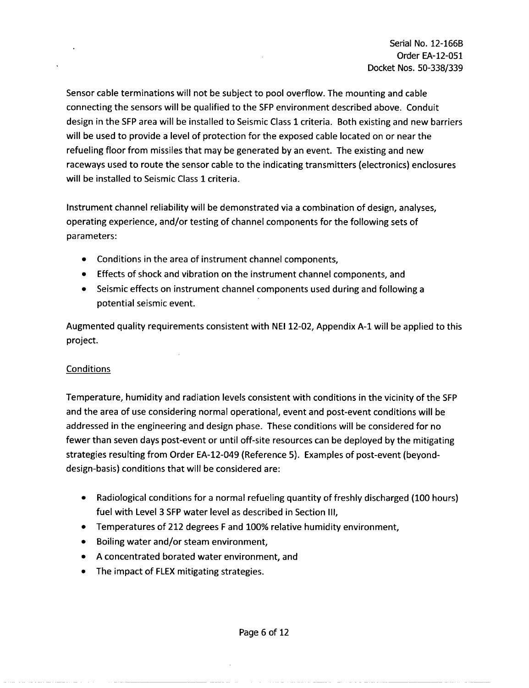Sensor cable terminations will not be subject to pool overflow. The mounting and cable connecting the sensors will be qualified to the SFP environment described above. Conduit design in the SFP area will be installed to Seismic Class 1 criteria. Both existing and new barriers will be used to provide a level of protection for the exposed cable located on or near the refueling floor from missiles that may be generated by an event. The existing and new raceways used to route the sensor cable to the indicating transmitters (electronics) enclosures will be installed to Seismic Class 1 criteria.

Instrument channel reliability will be demonstrated via a combination of design, analyses, operating experience, and/or testing of channel components for the following sets of parameters:

- **"** Conditions in the area of instrument channel components,
- **"** Effects of shock and vibration on the instrument channel components, and
- Seismic effects on instrument channel components used during and following a potential seismic event.

Augmented quality requirements consistent with **NEI** 12-02, Appendix **A-1** will be applied to this project.

#### Conditions

Temperature, humidity and radiation levels consistent with conditions in the vicinity of the SFP and the area of use considering normal operational, event and post-event conditions will be addressed in the engineering and design phase. These conditions will be considered for no fewer than seven days post-event or until off-site resources can be deployed by the mitigating strategies resulting from Order EA-12-049 (Reference 5). Examples of post-event (beyonddesign-basis) conditions that will be considered are:

- Radiological conditions for a normal refueling quantity of freshly discharged (100 hours) fuel with Level 3 SFP water level as described in Section III,
- **"** Temperatures of 212 degrees F and 100% relative humidity environment,
- \* Boiling water and/or steam environment,
- \* A concentrated borated water environment, and
- **"** The impact of FLEX mitigating strategies.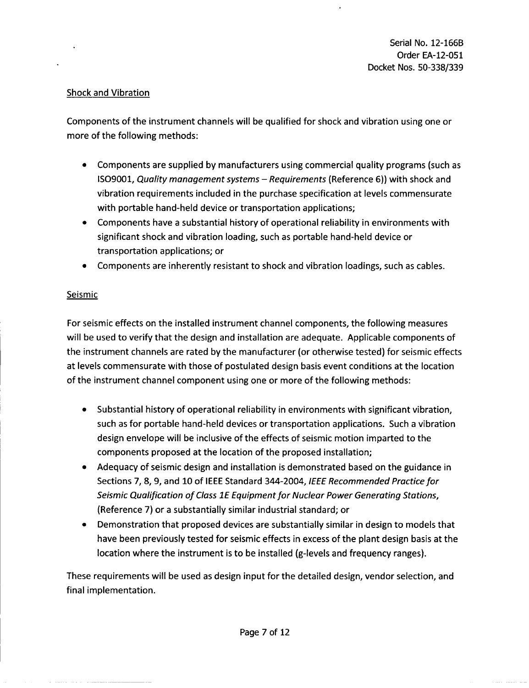#### Shock and Vibration

Components of the instrument channels will be qualified for shock and vibration using one or more of the following methods:

- **"** Components are supplied by manufacturers using commercial quality programs (such as 1S09001, *Quality management systems* - *Requirements* (Reference 6)) with shock and vibration requirements included in the purchase specification at levels commensurate with portable hand-held device or transportation applications;
- Components have a substantial history of operational reliability in environments with significant shock and vibration loading, such as portable hand-held device or transportation applications; or
- Components are inherently resistant to shock and vibration loadings, such as cables.

#### **Seismic**

For seismic effects on the installed instrument channel components, the following measures will be used to verify that the design and installation are adequate. Applicable components of the instrument channels are rated by the manufacturer (or otherwise tested) for seismic effects at levels commensurate with those of postulated design basis event conditions at the location of the instrument channel component using one or more of the following methods:

- \* Substantial history of operational reliability in environments with significant vibration, such as for portable hand-held devices or transportation applications. Such a vibration design envelope will be inclusive of the effects of seismic motion imparted to the components proposed at the location of the proposed installation;
- Adequacy of seismic design and installation is demonstrated based on the guidance in Sections 7, 8, 9, and 10 of IEEE Standard 344-2004, *IEEE Recommended Practice for Seismic Qualification of Class IE Equipment for Nuclear Power Generating Stations,* (Reference 7) or a substantially similar industrial standard; or
- Demonstration that proposed devices are substantially similar in design to models that have been previously tested for seismic effects in excess of the plant design basis at the location where the instrument is to be installed (g-levels and frequency ranges).

These requirements will be used as design input for the detailed design, vendor selection, and final implementation.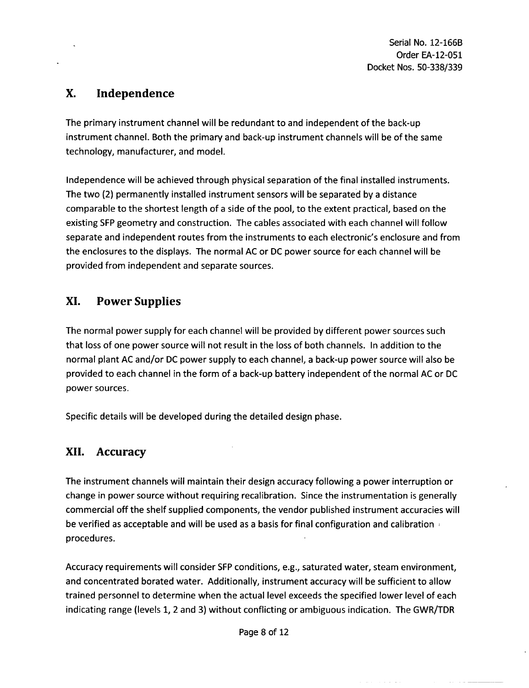Serial No. 12-166B Order EA-12-051 Docket Nos. 50-338/339

# X. Independence

The primary instrument channel will be redundant to and independent of the back-up instrument channel. Both the primary and back-up instrument channels will be of the same technology, manufacturer, and model.

Independence will be achieved through physical separation of the final installed instruments. The two (2) permanently installed instrument sensors will be separated by a distance comparable to the shortest length of a side of the pool, to the extent practical, based on the existing SFP geometry and construction. The cables associated with each channel will follow separate and independent routes from the instruments to each electronic's enclosure and from the enclosures to the displays. The normal AC or DC power source for each channel will be provided from independent and separate sources.

### XI. Power Supplies

The normal power supply for each channel will be provided by different power sources such that loss of one power source will not result in the loss of both channels. In addition to the normal plant AC and/or DC power supply to each channel, a back-up power source will also be provided to each channel in the form of a back-up battery independent of the normal AC or DC power sources.

Specific details will be developed during the detailed design phase.

### **XII.** Accuracy

The instrument channels will maintain their design accuracy following a power interruption or change in power source without requiring recalibration. Since the instrumentation is generally commercial off the shelf supplied components, the vendor published instrument accuracies will be verified as acceptable and will be used as a basis for final configuration and calibration procedures.

Accuracy requirements will consider SFP conditions, e.g., saturated water, steam environment, and concentrated borated water. Additionally, instrument accuracy will be sufficient to allow trained personnel to determine when the actual level exceeds the specified lower level of each indicating range (levels 1, 2 and 3) without conflicting or ambiguous indication. The GWR/TDR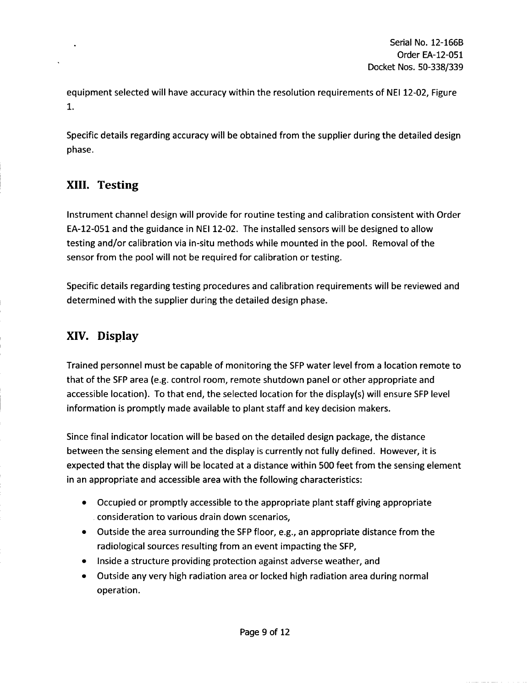equipment selected will have accuracy within the resolution requirements of NEI 12-02, Figure 1.

Specific details regarding accuracy will be obtained from the supplier during the detailed design phase.

# **XIII.** Testing

Instrument channel design will provide for routine testing and calibration consistent with Order EA-12-051 and the guidance in NEI 12-02. The installed sensors will be designed to allow testing and/or calibration via in-situ methods while mounted in the pool. Removal of the sensor from the pool will not be required for calibration or testing.

Specific details regarding testing procedures and calibration requirements will be reviewed and determined with the supplier during the detailed design phase.

# XIV. Display

Trained personnel must be capable of monitoring the SFP water level from a location remote to that of the SFP area (e.g. control room, remote shutdown panel or other appropriate and accessible location). To that end, the selected location for the display(s) will ensure SFP level information is promptly made available to plant staff and key decision makers.

Since final indicator location will be based on the detailed design package, the distance between the sensing element and the display is currently not fully defined. However, it is expected that the display will be located at a distance within 500 feet from the sensing element in an appropriate and accessible area with the following characteristics:

- **"** Occupied or promptly accessible to the appropriate plant staff giving appropriate consideration to various drain down scenarios,
- **"** Outside the area surrounding the SFP floor, e.g., an appropriate distance from the radiological sources resulting from an event impacting the SFP,
- Inside a structure providing protection against adverse weather, and
- **"** Outside any very high radiation area or locked high radiation area during normal operation.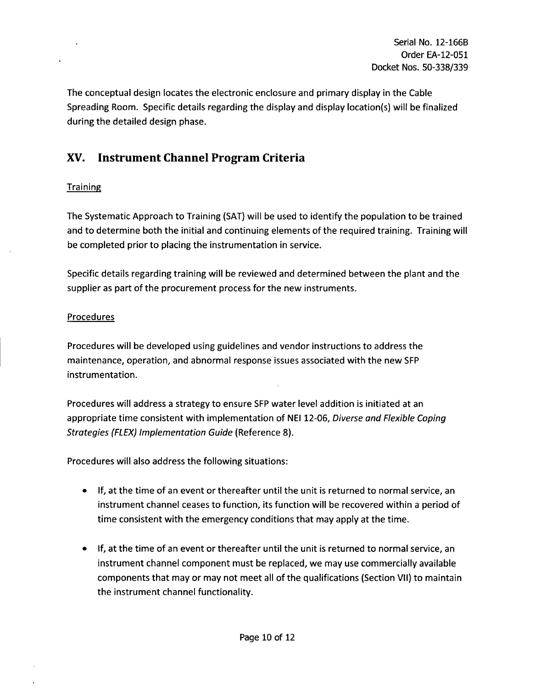The conceptual design locates the electronic enclosure and primary display in the Cable Spreading Room. Specific details regarding the display and display location(s) will be finalized during the detailed design phase.

# XV. Instrument Channel Program Criteria

#### **Training**

The Systematic Approach to Training (SAT) will be used to identify the population to be trained and to determine both the initial and continuing elements of the required training. Training will be completed prior to placing the instrumentation in service.

Specific details regarding training will be reviewed and determined between the plant and the supplier as part of the procurement process for the new instruments.

#### **Procedures**

Procedures will be developed using guidelines and vendor instructions to address the maintenance, operation, and abnormal response issues associated with the new SFP instrumentation.

Procedures will address a strategy to ensure SFP water level addition is initiated at an appropriate time consistent with implementation of NEI 12-06, *Diverse and Flexible Coping Strategies (FLEX) Implementation Guide* (Reference 8).

Procedures will also address the following situations:

- \* If, at the time of an event or thereafter until the unit is returned to normal service, an instrument channel ceases to function, its function will be recovered within a period of time consistent with the emergency conditions that may apply at the time.
- **"** If, at the time of an event or thereafter until the unit is returned to normal service, an instrument channel component must be replaced, we may use commercially available components that may or may not meet all of the qualifications (Section VII) to maintain the instrument channel functionality.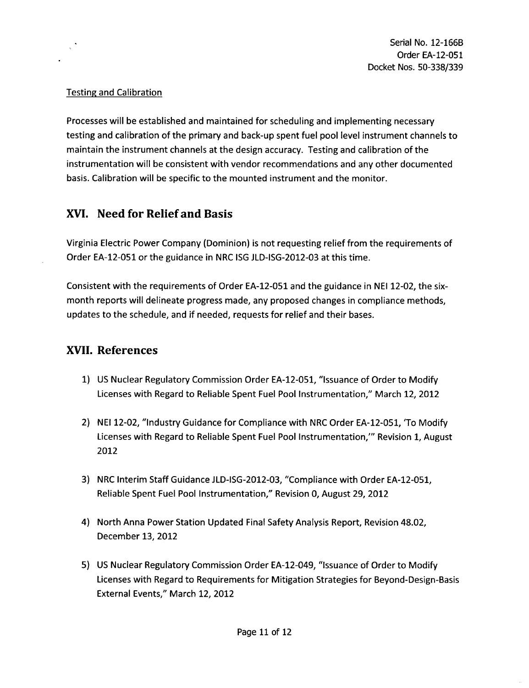#### Testing and Calibration

Processes will be established and maintained for scheduling and implementing necessary testing and calibration of the primary and back-up spent fuel pool level instrument channels to maintain the instrument channels at the design accuracy. Testing and calibration of the instrumentation will be consistent with vendor recommendations and any other documented basis. Calibration will be specific to the mounted instrument and the monitor.

### XVI. Need for Relief and Basis

Virginia Electric Power Company (Dominion) is not requesting relief from the requirements of Order EA-12-051 or the guidance in NRC ISG JLD-ISG-2012-03 at this time.

Consistent with the requirements of Order EA-12-051 and the guidance in NEI 12-02, the sixmonth reports will delineate progress made, any proposed changes in compliance methods, updates to the schedule, and if needed, requests for relief and their bases.

### XVII, References

- 1) US Nuclear Regulatory Commission Order EA-12-051, "Issuance of Order to Modify Licenses with Regard to Reliable Spent Fuel Pool Instrumentation," March 12, 2012
- 2) NEI 12-02, "Industry Guidance for Compliance with NRC Order EA-12-051, 'To Modify Licenses with Regard to Reliable Spent Fuel Pool Instrumentation,"' Revision **1,** August 2012
- 3) NRC Interim Staff Guidance JLD-ISG-2012-03, "Compliance with Order EA-12-051, Reliable Spent Fuel Pool Instrumentation," Revision **0,** August 29, 2012
- 4) North Anna Power Station Updated Final Safety Analysis Report, Revision 48.02, December **13,** 2012
- 5) US Nuclear Regulatory Commission Order EA-12-049, "Issuance of Order to Modify Licenses with Regard to Requirements for Mitigation Strategies for Beyond-Design-Basis External Events," March 12, 2012